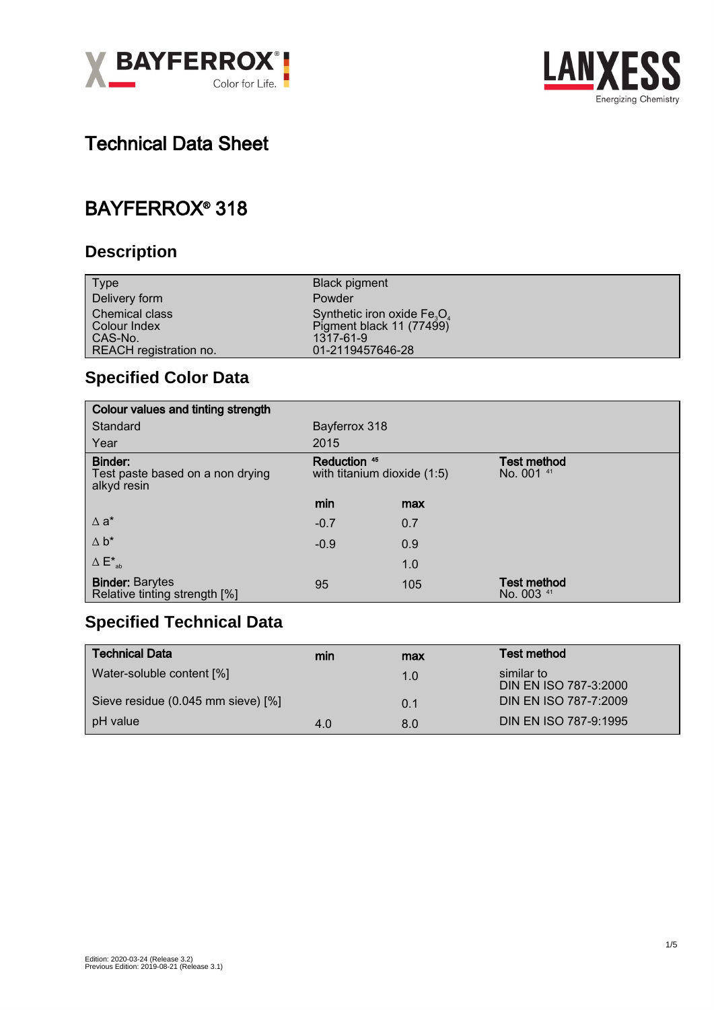



# Technical Data Sheet

## BAYFERROX® 318

### **Description**

| <b>Type</b>             | <b>Black pigment</b>                  |
|-------------------------|---------------------------------------|
| Delivery form           | Powder                                |
| <b>Chemical class</b>   | Synthetic iron oxide $Fe3O4$          |
| Colour Index<br>CAS-No. | Pigment black 11 (77499)<br>1317-61-9 |
| REACH registration no.  | 01-2119457646-28                      |

## **Specified Color Data**

| Colour values and tinting strength                         |                                               |     |                                  |  |
|------------------------------------------------------------|-----------------------------------------------|-----|----------------------------------|--|
| Standard                                                   | Bayferrox 318                                 |     |                                  |  |
| Year                                                       | 2015                                          |     |                                  |  |
| Binder:<br>Test paste based on a non drying<br>alkyd resin | Reduction 45<br>with titanium dioxide $(1:5)$ |     | <b>Test method</b><br>No. 001 41 |  |
|                                                            | min                                           | max |                                  |  |
| $\Delta$ a <sup>*</sup>                                    | $-0.7$                                        | 0.7 |                                  |  |
| $\Delta b^*$                                               | $-0.9$                                        | 0.9 |                                  |  |
| $\Delta E^*_{ab}$                                          |                                               | 1.0 |                                  |  |
| <b>Binder: Barytes</b><br>Relative tinting strength [%]    | 95                                            | 105 | <b>Test method</b><br>No. 003 41 |  |

#### **Specified Technical Data**

| <b>Technical Data</b>              | min | max | Test method                         |
|------------------------------------|-----|-----|-------------------------------------|
| Water-soluble content [%]          |     | 1.0 | similar to<br>DIN EN ISO 787-3:2000 |
| Sieve residue (0.045 mm sieve) [%] |     | 0.1 | DIN EN ISO 787-7:2009               |
| pH value                           | 4.0 | 8.0 | DIN EN ISO 787-9:1995               |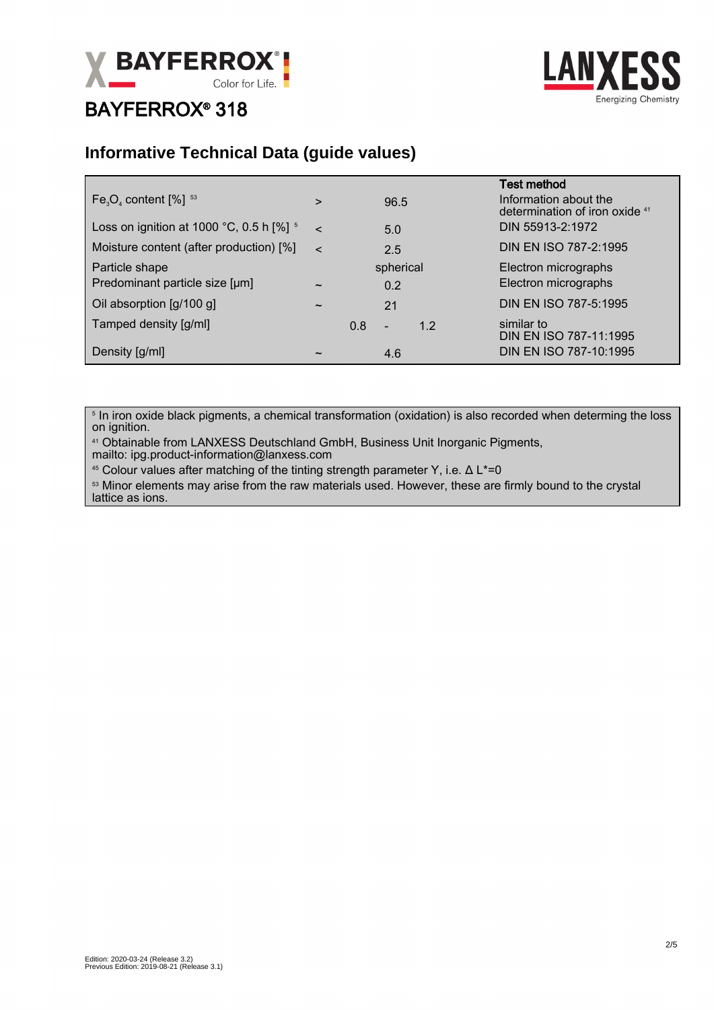

# BAYFERROX® 318



#### **Informative Technical Data (guide values)**

| $Fe3O4$ content $[%]$ <sup>53</sup>                    | $\geq$                |     | 96.5             |     | <b>Test method</b><br>Information about the<br>determination of iron oxide 41 |
|--------------------------------------------------------|-----------------------|-----|------------------|-----|-------------------------------------------------------------------------------|
| Loss on ignition at 1000 °C, 0.5 h $\lceil\% \rceil$ 5 | $\epsilon$            |     | 5.0              |     | DIN 55913-2:1972                                                              |
| Moisture content (after production) [%]                | $\epsilon$            |     | 2.5              |     | DIN EN ISO 787-2:1995                                                         |
| Particle shape<br>Predominant particle size [µm]       | $\tilde{\phantom{a}}$ |     | spherical<br>0.2 |     | Electron micrographs<br>Electron micrographs                                  |
| Oil absorption [g/100 g]                               | $\tilde{\phantom{a}}$ |     | 21               |     | DIN EN ISO 787-5:1995                                                         |
| Tamped density [g/ml]                                  |                       | 0.8 | -                | 1.2 | similar to<br>DIN EN ISO 787-11:1995                                          |
| Density [g/ml]                                         | $\tilde{\phantom{a}}$ |     | 4.6              |     | DIN EN ISO 787-10:1995                                                        |

 $^{\circ}$  In iron oxide black pigments, a chemical transformation (oxidation) is also recorded when determing the loss on ignition.

<sup>41</sup> Obtainable from LANXESS Deutschland GmbH, Business Unit Inorganic Pigments, mailto: ipg.product-information@lanxess.com

<sup>45</sup> Colour values after matching of the tinting strength parameter Y, i.e. Δ L\*=0

53 Minor elements may arise from the raw materials used. However, these are firmly bound to the crystal lattice as ions.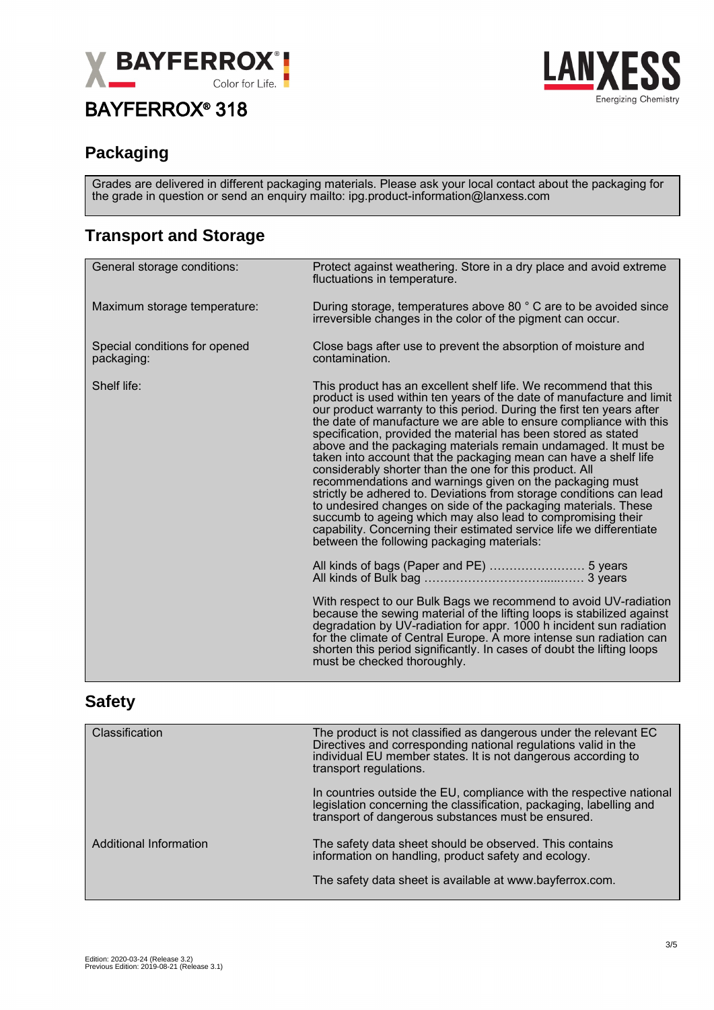

## BAYFERROX® 318



#### **Packaging**

Grades are delivered in different packaging materials. Please ask your local contact about the packaging for the grade in question or send an enquiry mailto: ipg.product-information@lanxess.com

#### **Transport and Storage**

| General storage conditions:                 | Protect against weathering. Store in a dry place and avoid extreme<br>fluctuations in temperature.                                                                                                                                                                                                                                                                                                                                                                                                                                                                                                                                                                                                                                                                                                                                                                                                                                                    |  |
|---------------------------------------------|-------------------------------------------------------------------------------------------------------------------------------------------------------------------------------------------------------------------------------------------------------------------------------------------------------------------------------------------------------------------------------------------------------------------------------------------------------------------------------------------------------------------------------------------------------------------------------------------------------------------------------------------------------------------------------------------------------------------------------------------------------------------------------------------------------------------------------------------------------------------------------------------------------------------------------------------------------|--|
| Maximum storage temperature:                | During storage, temperatures above 80 ° C are to be avoided since<br>irreversible changes in the color of the pigment can occur.                                                                                                                                                                                                                                                                                                                                                                                                                                                                                                                                                                                                                                                                                                                                                                                                                      |  |
| Special conditions for opened<br>packaging: | Close bags after use to prevent the absorption of moisture and<br>contamination.                                                                                                                                                                                                                                                                                                                                                                                                                                                                                                                                                                                                                                                                                                                                                                                                                                                                      |  |
| Shelf life:                                 | This product has an excellent shelf life. We recommend that this<br>product is used within ten years of the date of manufacture and limit<br>our product warranty to this period. During the first ten years after<br>the date of manufacture we are able to ensure compliance with this<br>specification, provided the material has been stored as stated<br>above and the packaging materials remain undamaged. It must be<br>taken into account that the packaging mean can have a shelf life<br>considerably shorter than the one for this product. All<br>recommendations and warnings given on the packaging must<br>strictly be adhered to. Deviations from storage conditions can lead<br>to undesired changes on side of the packaging materials. These<br>succumb to ageing which may also lead to compromising their<br>capability. Concerning their estimated service life we differentiate<br>between the following packaging materials: |  |
|                                             |                                                                                                                                                                                                                                                                                                                                                                                                                                                                                                                                                                                                                                                                                                                                                                                                                                                                                                                                                       |  |
|                                             | With respect to our Bulk Bags we recommend to avoid UV-radiation<br>because the sewing material of the lifting loops is stabilized against<br>degradation by UV-radiation for appr. 1000 h incident sun radiation<br>for the climate of Central Europe. A more intense sun radiation can<br>shorten this period significantly. In cases of doubt the lifting loops<br>must be checked thoroughly.                                                                                                                                                                                                                                                                                                                                                                                                                                                                                                                                                     |  |

#### **Safety**

| Classification         | The product is not classified as dangerous under the relevant EC<br>Directives and corresponding national regulations valid in the<br>individual EU member states. It is not dangerous according to<br>transport regulations. |
|------------------------|-------------------------------------------------------------------------------------------------------------------------------------------------------------------------------------------------------------------------------|
|                        | In countries outside the EU, compliance with the respective national<br>legislation concerning the classification, packaging, labelling and<br>transport of dangerous substances must be ensured.                             |
| Additional Information | The safety data sheet should be observed. This contains<br>information on handling, product safety and ecology.                                                                                                               |
|                        | The safety data sheet is available at www.bayferrox.com.                                                                                                                                                                      |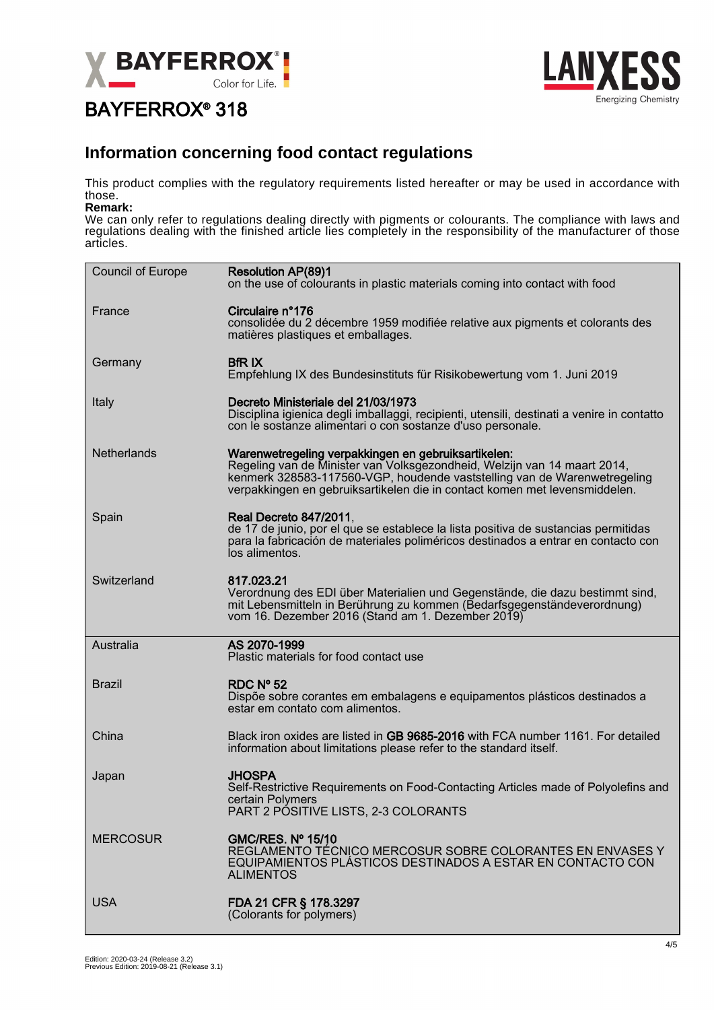

# BAYFERROX® 318



#### **Information concerning food contact regulations**

This product complies with the regulatory requirements listed hereafter or may be used in accordance with those.

#### **Remark:**

We can only refer to regulations dealing directly with pigments or colourants. The compliance with laws and regulations dealing with the finished article lies completely in the responsibility of the manufacturer of those articles.

| <b>Council of Europe</b> | <b>Resolution AP(89)1</b><br>on the use of colourants in plastic materials coming into contact with food                                                                                                                                                                                  |
|--------------------------|-------------------------------------------------------------------------------------------------------------------------------------------------------------------------------------------------------------------------------------------------------------------------------------------|
| France                   | Circulaire n°176<br>consolidée du 2 décembre 1959 modifiée relative aux pigments et colorants des<br>matières plastiques et emballages.                                                                                                                                                   |
| Germany                  | <b>BfR IX</b><br>Empfehlung IX des Bundesinstituts für Risikobewertung vom 1. Juni 2019                                                                                                                                                                                                   |
| Italy                    | Decreto Ministeriale del 21/03/1973<br>Disciplina igienica degli imballaggi, recipienti, utensili, destinati a venire in contatto<br>con le sostanze alimentari o con sostanze d'uso personale.                                                                                           |
| Netherlands              | Warenwetregeling verpakkingen en gebruiksartikelen:<br>Regeling van de Minister van Volksgezondheid, Welzijn van 14 maart 2014,<br>kenmerk 328583-117560-VGP, houdende vaststelling van de Warenwetregeling<br>verpakkingen en gebruiksartikelen die in contact komen met levensmiddelen. |
| Spain                    | <b>Real Decreto 847/2011,</b><br>de 17 de junio, por el que se establece la lista positiva de sustancias permitidas<br>para la fabricación de materiales poliméricos destinados a entrar en contacto con<br>los alimentos.                                                                |
| Switzerland              | 817.023.21<br>Verordnung des EDI über Materialien und Gegenstände, die dazu bestimmt sind,<br>mit Lebensmitteln in Berührung zu kommen (Bedarfsgegenständeverordnung)<br>vom 16. Dezember 2016 (Stand am 1. Dezember 2019)                                                                |
| Australia                | AS 2070-1999<br>Plastic materials for food contact use                                                                                                                                                                                                                                    |
| <b>Brazil</b>            | RDC $No$ 52<br>Dispõe sobre corantes em embalagens e equipamentos plásticos destinados a<br>estar em contato com alimentos.                                                                                                                                                               |
| China                    | Black iron oxides are listed in GB 9685-2016 with FCA number 1161. For detailed<br>information about limitations please refer to the standard itself.                                                                                                                                     |
| Japan                    | <b>JHOSPA</b><br>Self-Restrictive Requirements on Food-Contacting Articles made of Polyolefins and<br>certain Polymers<br>PART 2 POSITIVE LISTS, 2-3 COLORANTS                                                                                                                            |
| <b>MERCOSUR</b>          | <b>GMC/RES. Nº 15/10</b><br>REGLAMENTO TÉCNICO MERCOSUR SOBRE COLORANTES EN ENVASES Y<br>EQUIPAMIENTOS PLÁSTICOS DESTINADOS A ESTAR EN CONTACTO CON<br><b>ALIMENTOS</b>                                                                                                                   |
| <b>USA</b>               | FDA 21 CFR § 178.3297<br>(Colorants for polymers)                                                                                                                                                                                                                                         |